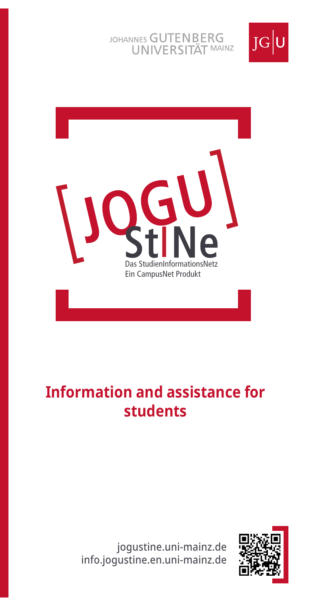### JOHANNES GUTENBERG UNIVERSITÄT MAINZ





# **Information and assistance for students**

jogustine.uni-mainz.de info.jogustine.en.uni-mainz.de

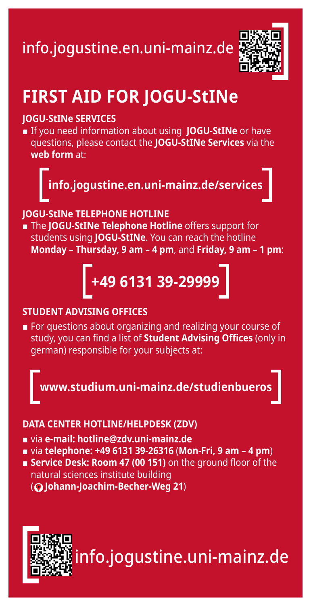# info.jogustine.en.uni-mainz.de



# **FIRST AID FOR JOGU-StINe**

#### **JOGU-StINe SERVICES**

■ If you need information about using **JOGU-StINe** or have questions, please contact the **JOGU-StINe Services** via the **web form** at:



#### **JOGU-StINe TELEPHONE HOTLINE**

■ The **JOGU-StINe Telephone Hotline** offers support for students using **JOGU-StINe**. You can reach the hotline **Monday – Thursday, 9 am – 4 pm**, and **Friday, 9 am – 1 pm**:

# **+49 6131 39-29999**

#### **STUDENT ADVISING OFFICES**

■ For questions about organizing and realizing your course of study, you can find a list of **Student Advising Offices** (only in german) responsible for your subjects at:

**www.studium.uni-mainz.de/studienbueros**

#### **DATA CENTER HOTLINE/HELPDESK (ZDV)**

- via **e-mail: hotline@zdv.uni-mainz.de**
- via **telephone: +49 6131 39-26316 (Mon-Fri, 9 am 4 pm)**
- **Service Desk: Room 47 (00 151)** on the ground floor of the natural sciences institute building ( **Johann-Joachim-Becher-Weg 21**)

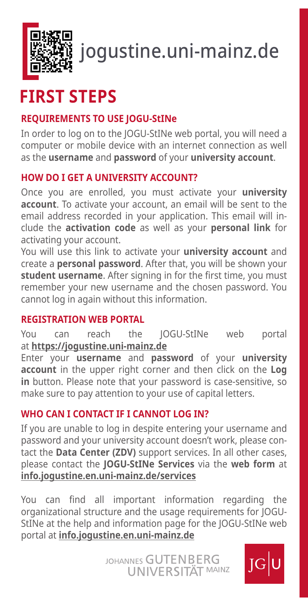

# jogustine.uni-mainz.de

# **FIRST STEPS**

### **REQUIREMENTS TO USE JOGU-StINe**

In order to log on to the JOGU-StINe web portal, you will need a computer or mobile device with an internet connection as well as the **username** and **password** of your **university account**.

#### **HOW DO I GET A UNIVERSITY ACCOUNT?**

Once you are enrolled, you must activate your **university account**. To activate your account, an email will be sent to the email address recorded in your application. This email will include the **activation code** as well as your **personal link** for activating your account.

You will use this link to activate your **university account** and create a **personal password**. After that, you will be shown your **student username**. After signing in for the first time, you must remember your new username and the chosen password. You cannot log in again without this information.

#### **REGISTRATION WEB PORTAL**

You can reach the JOGU-StINe web portal at **https://jogustine.uni-mainz.de** 

Enter your **username** and **password** of your **university account** in the upper right corner and then click on the **Log in** button. Please note that your password is case-sensitive, so make sure to pay attention to your use of capital letters.

### **WHO CAN I CONTACT IF I CANNOT LOG IN?**

If you are unable to log in despite entering your username and password and your university account doesn't work, please contact the **Data Center (ZDV)** support services. In all other cases, please contact the **JOGU-StINe Services** via the **web form** at **info.jogustine.en.uni-mainz.de/services**

You can find all important information regarding the organizational structure and the usage requirements for JOGU-StINe at the help and information page for the JOGU-StINe web portal at **info.jogustine.en.uni-mainz.de**

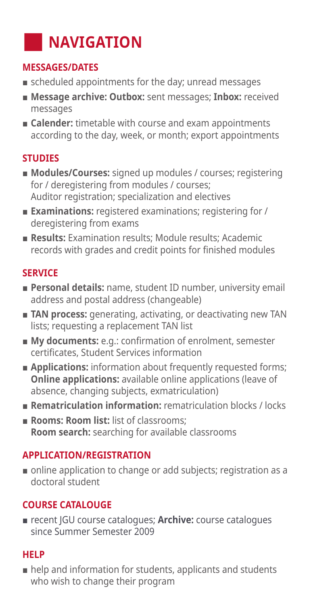# **NAVIGATION**

#### **MESSAGES/DATES**

- scheduled appointments for the day; unread messages
- **Message archive: Outbox:** sent messages; **Inbox:** received messages
- **Calender:** timetable with course and exam appointments according to the day, week, or month; export appointments

## **STUDIES**

- **Modules/Courses:** signed up modules / courses; registering for / deregistering from modules / courses; Auditor registration; specialization and electives
- **Examinations:** registered examinations; registering for / deregistering from exams
- **Results:** Examination results: Module results: Academic records with grades and credit points for finished modules

## **SERVICE**

- **Personal details:** name, student ID number, university email address and postal address (changeable)
- **TAN process:** generating, activating, or deactivating new TAN lists; requesting a replacement TAN list
- **My documents:** e.g.: confirmation of enrolment, semester certificates, Student Services information
- **Applications:** information about frequently requested forms; **Online applications:** available online applications (leave of absence, changing subjects, exmatriculation)
- **Rematriculation information:** rematriculation blocks / locks
- **Rooms: Room list:** list of classrooms; **Room search:** searching for available classrooms

### **APPLICATION/REGISTRATION**

■ online application to change or add subjects; registration as a doctoral student

## **COURSE CATALOUGE**

■ recent JGU course catalogues; **Archive:** course catalogues since Summer Semester 2009

### **HELP**

■ help and information for students, applicants and students who wish to change their program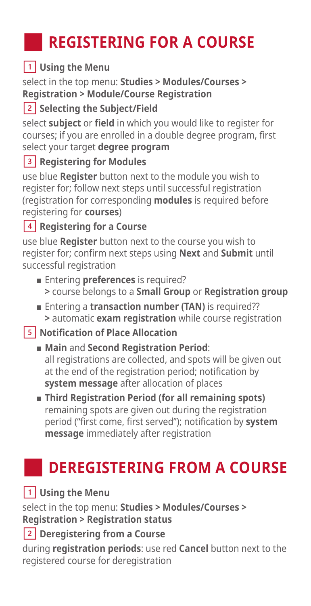# **REGISTERING FOR A COURSE**

# **Using the Menu**

select in the top menu: **Studies > Modules/Courses > Registration > Module/Course Registration**

# **<u>2</u>** Selecting the Subject/Field

select **subject** or **field** in which you would like to register for courses; if you are enrolled in a double degree program, first select your target **degree program**

# **8** Registering for Modules

use blue **Register** button next to the module you wish to register for; follow next steps until successful registration (registration for corresponding **modules** is required before registering for **courses**)

## **Registering for a Course**

use blue **Register** button next to the course you wish to register for; confirm next steps using **Next** and **Submit** until successful registration

- Entering **preferences** is required? **>** course belongs to a **Small Group** or **Registration group**
- Entering a **transaction number (TAN)** is required?? **>** automatic **exam registration** while course registration

## **Notification of Place Allocation**

- **Main** and **Second Registration Period**: all registrations are collected, and spots will be given out at the end of the registration period; notification by **system message** after allocation of places
- **Third Registration Period (for all remaining spots)** remaining spots are given out during the registration period ("first come, first served"); notification by **system message** immediately after registration

# **DEREGISTERING FROM A COURSE**

## **1** Using the Menu

select in the top menu: **Studies > Modules/Courses > Registration > Registration status**

# **Deregistering from a Course**

during **registration periods**: use red **Cancel** button next to the registered course for deregistration